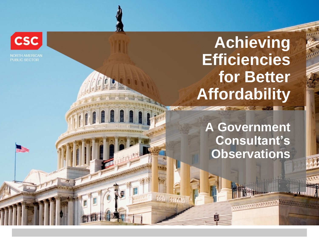

**CSC** 

**NORTH AMERICAN PUBLIC SECTOR** 

> **A Government Consultant's Observations**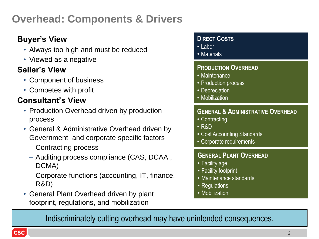## **Overhead: Components & Drivers**

### **Buyer's View**

- Always too high and must be reduced
- Viewed as a negative

#### **Seller's View**

- Component of business
- Competes with profit

#### **Consultant's View**

- Production Overhead driven by production process
- General & Administrative Overhead driven by Government and corporate specific factors
	- Contracting process
	- Auditing process compliance (CAS, DCAA , DCMA)
	- Corporate functions (accounting, IT, finance, R&D)
- General Plant Overhead driven by plant footprint, regulations, and mobilization

#### **DIRECT COSTS**

- Labor
- Materials

#### **PRODUCTION OVERHEAD**

- Maintenance
- Production process
- Depreciation
- Mobilization

#### **GENERAL & ADMINISTRATIVE OVERHEAD**

- Contracting
- R&D
- Cost Accounting Standards
- Corporate requirements

#### **GENERAL PLANT OVERHEAD**

- Facility age
- Facility footprint
- Maintenance standards
- Regulations
- Mobilization

Indiscriminately cutting overhead may have unintended consequences.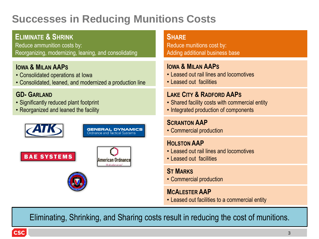# **Successes in Reducing Munitions Costs**

#### **ELIMINATE & SHRINK**

Reduce ammunition costs by: Reorganizing, modernizing, leaning, and consolidating

#### **IOWA & MILAN AAPS**

- Consolidated operations at Iowa
- Consolidated, leaned, and modernized a production line

#### **GD- GARLAND**

- Significantly reduced plant footprint
- Reorganized and leaned the facility



**BAE SYSTEMS** 



**GENERAL DYNAMICS** Ordnance and Tactical Systems



#### **SHARE**

Reduce munitions cost by: Adding additional business base

#### **IOWA & MILAN AAPS**

- Leased out rail lines and locomotives
- Leased out facilities

#### **LAKE CITY & RADFORD AAPS**

- Shared facility costs with commercial entity
- Integrated production of components

#### **SCRANTON AAP**

• Commercial production

#### **HOLSTON AAP**

- Leased out rail lines and locomotives
- Leased out facilities

#### **ST MARKS**

• Commercial production

#### **MCALESTER AAP**

• Leased out facilities to a commercial entity

Eliminating, Shrinking, and Sharing costs result in reducing the cost of munitions.